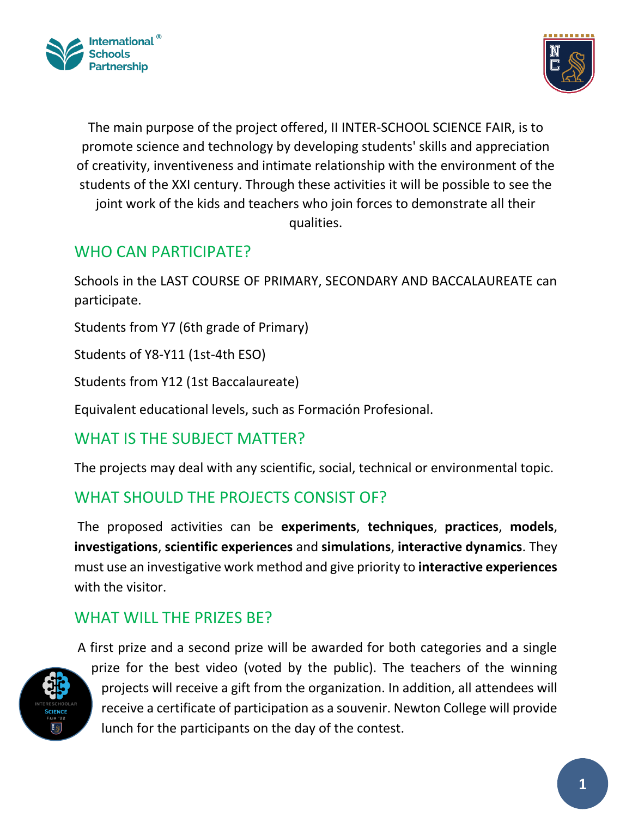



The main purpose of the project offered, II INTER-SCHOOL SCIENCE FAIR, is to promote science and technology by developing students' skills and appreciation of creativity, inventiveness and intimate relationship with the environment of the students of the XXI century. Through these activities it will be possible to see the joint work of the kids and teachers who join forces to demonstrate all their qualities.

## WHO CAN PARTICIPATE?

Schools in the LAST COURSE OF PRIMARY, SECONDARY AND BACCALAUREATE can participate.

Students from Y7 (6th grade of Primary)

Students of Y8-Y11 (1st-4th ESO)

Students from Y12 (1st Baccalaureate)

Equivalent educational levels, such as Formación Profesional.

### WHAT IS THE SUBJECT MATTER?

The projects may deal with any scientific, social, technical or environmental topic.

## WHAT SHOULD THE PROJECTS CONSIST OF?

The proposed activities can be **experiments**, **techniques**, **practices**, **models**, **investigations**, **scientific experiences** and **simulations**, **interactive dynamics**. They must use an investigative work method and give priority to **interactive experiences** with the visitor.

### WHAT WILL THE PRIZES BE?

A first prize and a second prize will be awarded for both categories and a single prize for the best video (voted by the public). The teachers of the winning projects will receive a gift from the organization. In addition, all attendees will receive a certificate of participation as a souvenir. Newton College will provide lunch for the participants on the day of the contest.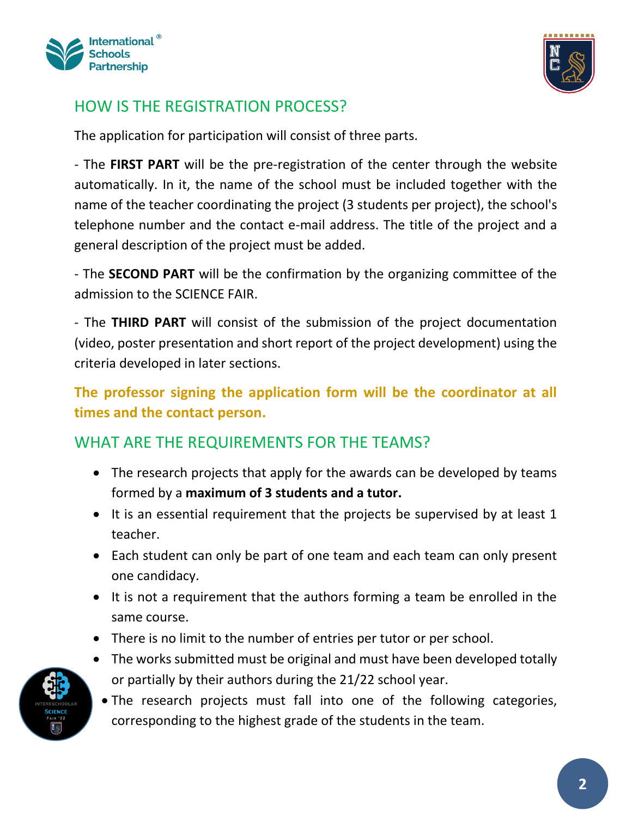



# HOW IS THE REGISTRATION PROCESS?

The application for participation will consist of three parts.

- The **FIRST PART** will be the pre-registration of the center through the website automatically. In it, the name of the school must be included together with the name of the teacher coordinating the project (3 students per project), the school's telephone number and the contact e-mail address. The title of the project and a general description of the project must be added.

- The **SECOND PART** will be the confirmation by the organizing committee of the admission to the SCIENCE FAIR.

- The **THIRD PART** will consist of the submission of the project documentation (video, poster presentation and short report of the project development) using the criteria developed in later sections.

**The professor signing the application form will be the coordinator at all times and the contact person.**

### WHAT ARE THE REQUIREMENTS FOR THE TEAMS?

- The research projects that apply for the awards can be developed by teams formed by a **maximum of 3 students and a tutor.**
- It is an essential requirement that the projects be supervised by at least 1 teacher.
- Each student can only be part of one team and each team can only present one candidacy.
- It is not a requirement that the authors forming a team be enrolled in the same course.
- There is no limit to the number of entries per tutor or per school.
- The works submitted must be original and must have been developed totally or partially by their authors during the 21/22 school year.
	- The research projects must fall into one of the following categories, corresponding to the highest grade of the students in the team.

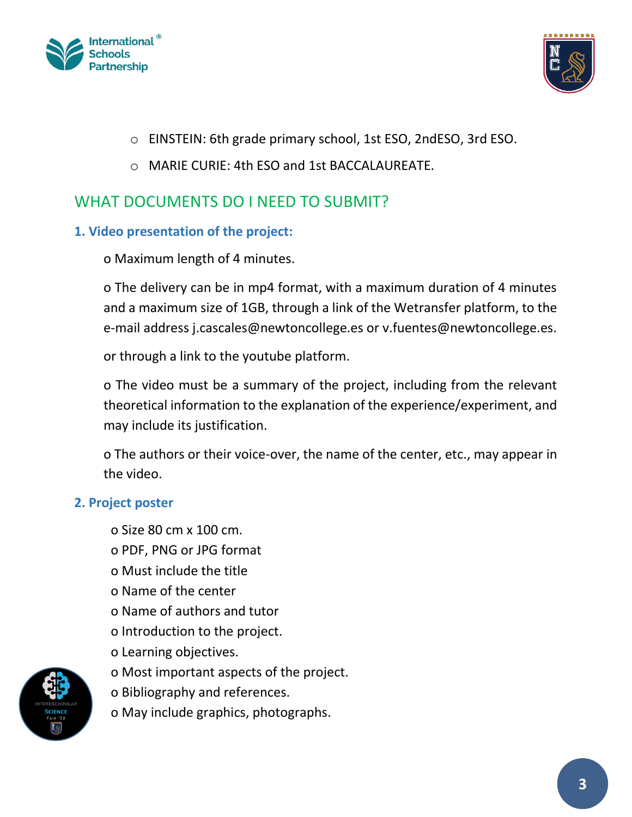



- o EINSTEIN: 6th grade primary school, 1st ESO, 2ndESO, 3rd ESO.
- o MARIE CURIE: 4th ESO and 1st BACCALAUREATE.

## WHAT DOCUMENTS DO I NEED TO SUBMIT?

#### **1. Video presentation of the project:**

o Maximum length of 4 minutes.

o The delivery can be in mp4 format, with a maximum duration of 4 minutes and a maximum size of 1GB, through a link of the Wetransfer platform, to the e-mail address j.cascales@newtoncollege.es or v.fuentes@newtoncollege.es.

or through a link to the youtube platform.

o The video must be a summary of the project, including from the relevant theoretical information to the explanation of the experience/experiment, and may include its justification.

o The authors or their voice-over, the name of the center, etc., may appear in the video.

#### **2. Project poster**

- o Size 80 cm x 100 cm.
- o PDF, PNG or JPG format
- o Must include the title
- o Name of the center
- o Name of authors and tutor
- o Introduction to the project.
- o Learning objectives.
- o Most important aspects of the project.
- o Bibliography and references.
- o May include graphics, photographs.

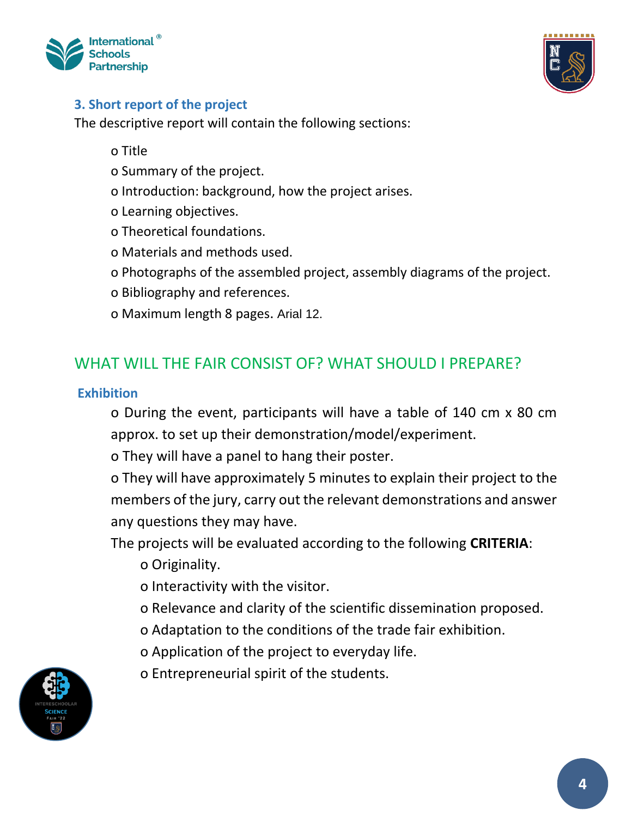



### **3. Short report of the project**

The descriptive report will contain the following sections:

o Title

- o Summary of the project.
- o Introduction: background, how the project arises.
- o Learning objectives.
- o Theoretical foundations.
- o Materials and methods used.
- o Photographs of the assembled project, assembly diagrams of the project.
- o Bibliography and references.
- o Maximum length 8 pages. Arial 12.

# WHAT WILL THE FAIR CONSIST OF? WHAT SHOULD I PREPARE?

#### **Exhibition**

o During the event, participants will have a table of 140 cm x 80 cm approx. to set up their demonstration/model/experiment.

o They will have a panel to hang their poster.

o They will have approximately 5 minutes to explain their project to the members of the jury, carry out the relevant demonstrations and answer any questions they may have.

The projects will be evaluated according to the following **CRITERIA**:

- o Originality.
- o Interactivity with the visitor.
- o Relevance and clarity of the scientific dissemination proposed.
- o Adaptation to the conditions of the trade fair exhibition.
- o Application of the project to everyday life.
- o Entrepreneurial spirit of the students.